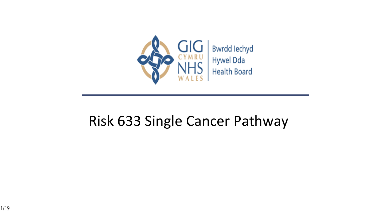

#### Risk 633 Single Cancer Pathway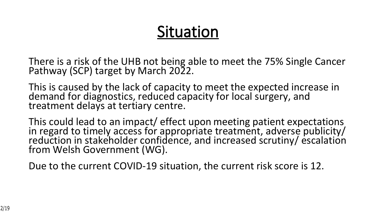### **Situation**

There is a risk of the UHB not being able to meet the 75% Single Cancer Pathway (SCP) target by March 2022.

This is caused by the lack of capacity to meet the expected increase in demand for diagnostics, reduced capacity for local surgery, and treatment delays at tertiary centre.

This could lead to an impact/ effect upon meeting patient expectations in regard to timely access for appropriate treatment, adverse publicity/ reduction in stakeholder confidence, and increased scrutiny/escalation from Welsh Government (WG).

Due to the current COVID-19 situation, the current risk score is 12.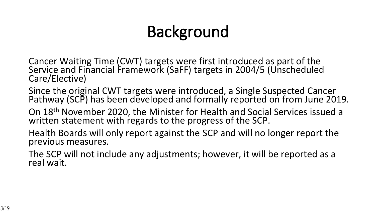## **Background**

- Cancer Waiting Time (CWT) targets were first introduced as part of the Service and Financial Framework (SaFF) targets in 2004/5 (Unscheduled Care/Elective)
- Since the original CWT targets were introduced, a Single Suspected Cancer Pathway (SCP) has been developed and formally reported on from June 2019.
- On 18th November 2020, the Minister for Health and Social Services issued a written statement with regards to the progress of the SCP.
- Health Boards will only report against the SCP and will no longer report the previous measures.
- The SCP will not include any adjustments; however, it will be reported as a real wait.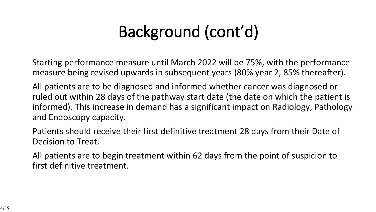## **Background (cont'd)**

Starting performance measure until March 2022 will be 75%, with the performance measure being revised upwards in subsequent years (80% year 2, 85% thereafter).

All patients are to be diagnosed and informed whether cancer was diagnosed or ruled out within 28 days of the pathway start date (the date on which the patient is informed). This increase in demand has a significant impact on Radiology, Pathology and Endoscopy capacity.

Patients should receive their first definitive treatment 28 days from their Date of Decision to Treat.

All patients are to begin treatment within 62 days from the point of suspicion to first definitive treatment.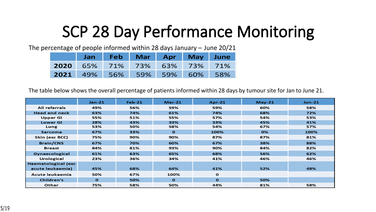### **SCP 28 Day Performance Monitoring**

The percentage of people informed within 28 days January – June 20/21

| Jan                          |  | Feb Mar Apr May June |  |
|------------------------------|--|----------------------|--|
| 2020 65% 71% 73% 63% 73% 71% |  |                      |  |
| 2021 49% 56% 59% 59% 60% 58% |  |                      |  |

The table below shows the overall percentage of patients informed within 28 days by tumour site for Jan to June 21.

|                      | $Jan-21$     | <b>Feb-21</b> | $Mar-21$ | $Apr-21$     | $May-21$ | $Jun-21$ |
|----------------------|--------------|---------------|----------|--------------|----------|----------|
| <b>All referrals</b> | 49%          | 56%           | 59%      | 59%          | 60%      | 58%      |
| <b>Head and neck</b> | 63%          | 74%           | 61%      | 74%          | 68%      | 72%      |
| <b>Upper GI</b>      | 55%          | 51%           | 55%      | 57%          | 54%      | 53%      |
| <b>Lower GI</b>      | 28%          | 43%           | 33%      | 33%          | 45%      | 41%      |
| Lung                 | 53%          | 50%           | 58%      | 54%          | 67%      | 57%      |
| <b>Sarcoma</b>       | 67%          | 33%           | $\Omega$ | 100%         | 0%       | 100%     |
| Skin (exc BCC)       | 75%          | 90%           | 90%      | 87%          | 87%      | 81%      |
| <b>Brain/CNS</b>     | 67%          | 70%           | 60%      | 67%          | 38%      | 88%      |
| <b>Breast</b>        | 84%          | 81%           | 93%      | 90%          | 84%      | 82%      |
| Gynaecological       | 61%          | 63%           | 65%      | 68%          | 56%      | 62%      |
| <b>Urological</b>    | 23%          | 36%           | 34%      | 41%          | 46%      | 46%      |
| Haematological (exc  |              |               |          |              |          |          |
| acute leukaemia)     | 45%          | 68%           | 64%      | 41%          | 52%      | 48%      |
| Acute leukaemia      | 50%          | 67%           | 100%     | $\mathbf{o}$ |          |          |
| Children's           | $\mathbf{o}$ | 50%           | $\Omega$ | $\mathbf{o}$ | 50%      |          |
| Other                | 75%          | 58%           | 50%      | 44%          | 81%      | 58%      |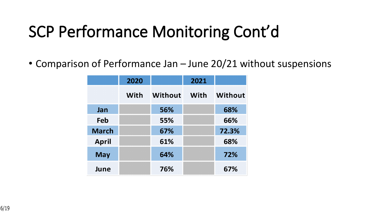### **SCP Performance Monitoring Cont'd**

• Comparison of Performance Jan – June 20/21 without suspensions

|              | 2020 |                | 2021 |                |
|--------------|------|----------------|------|----------------|
|              | With | <b>Without</b> | With | <b>Without</b> |
| Jan          |      | 56%            |      | 68%            |
| Feb          |      | 55%            |      | 66%            |
| <b>March</b> |      | 67%            |      | 72.3%          |
| <b>April</b> |      | 61%            |      | 68%            |
| <b>May</b>   |      | 64%            |      | 72%            |
| June         |      | 76%            |      | 67%            |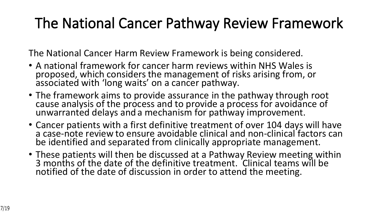#### **The National Cancer Pathway Review Framework**

The National Cancer Harm Review Framework is being considered.

- A national framework for cancer harm reviews within NHS Wales is proposed, which considers the management of risks arising from, or associated with 'long waits' on a cancer pathway.
- The framework aims to provide assurance in the pathway through root cause analysis of the process and to provide a process for avoidance of unwarranted delays and a mechanism for pathway improvement.
- Cancer patients with a first definitive treatment of over 104 days will have a case-note review to ensure avoidable clinical and non-clinical factors can be identified and separated from clinically appropriate management.
- These patients will then be discussed at a Pathway Review meeting within 3 months of the date of the definitive treatment. Clinical teams will be notified of the date of discussion in order to attend the meeting.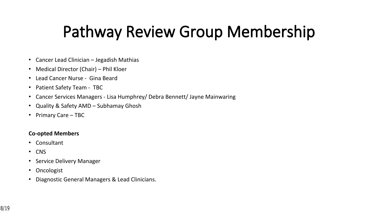### **Pathway Review Group Membership**

- Cancer Lead Clinician Jegadish Mathias
- Medical Director (Chair) Phil Kloer
- Lead Cancer Nurse Gina Beard
- Patient Safety Team TBC
- Cancer Services Managers Lisa Humphrey/ Debra Bennett/ Jayne Mainwaring
- Quality & Safety AMD Subhamay Ghosh
- Primary Care TBC

#### **Co-opted Members**

- Consultant
- CNS
- Service Delivery Manager
- Oncologist
- Diagnostic General Managers & Lead Clinicians.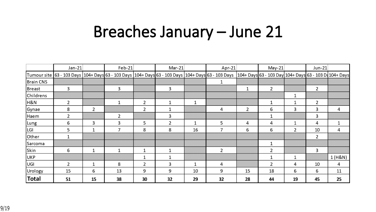#### **Breaches January – June 21**

|                  | $Jan-21$       |                | $Feb-21$       |                | $Mar-21$ |              | Apr-21                                                                                                                                                                                    |                | $May-21$       |             | $Jun-21$       |         |
|------------------|----------------|----------------|----------------|----------------|----------|--------------|-------------------------------------------------------------------------------------------------------------------------------------------------------------------------------------------|----------------|----------------|-------------|----------------|---------|
|                  |                |                |                |                |          |              | Tumour site  63 - 103 Days  104+ Days 63 - 103 Days  104+ Days 63 - 103 Days  104+ Days 63 - 103 - 103 Day 104+ Days 63 - 103 Day 104+ Days 63 - 103 Day 104+ Days 63 - 103 Day 104+ Days |                |                |             |                |         |
| <b>Brain CNS</b> |                |                |                |                |          |              |                                                                                                                                                                                           |                |                |             |                |         |
| Breast           | 3              |                | 3              |                | 3        |              |                                                                                                                                                                                           |                | $\overline{2}$ |             | $\overline{2}$ |         |
| Childrens        |                |                |                |                |          |              |                                                                                                                                                                                           |                |                |             |                |         |
| H&N              | $\overline{2}$ |                | 1              | $\overline{2}$ | 1        | $\mathbf{1}$ |                                                                                                                                                                                           |                | 1              | 1           | $\overline{2}$ |         |
| Gynae            | 8              | $\overline{2}$ |                | $\overline{2}$ |          |              | 4                                                                                                                                                                                         | $\overline{2}$ | 6              | 3           | 3              | 4       |
| Haem             | $\overline{2}$ |                | $\overline{2}$ |                | 3        |              |                                                                                                                                                                                           |                |                |             | 3              |         |
| Lung             | 6              | 3              | 3              | 5              | 2        |              | 5                                                                                                                                                                                         | 4              | 4              |             | 4              |         |
| LGI              | 5              | $\mathbf{1}$   | 7              | 8              | 8        | 16           | 7                                                                                                                                                                                         | 6              | 6              | $2^{\circ}$ | 10             | 4       |
| Other            |                |                |                |                |          |              |                                                                                                                                                                                           |                |                |             | $\overline{2}$ |         |
| Sarcoma          |                |                |                |                |          |              |                                                                                                                                                                                           |                | 1              |             |                |         |
| Skin             | 6              | $\mathbf{1}$   | $\mathbf{1}$   | 1              |          |              | $\overline{2}$                                                                                                                                                                            |                | $\overline{2}$ |             | 3              |         |
| UKP              |                |                |                | 1              |          |              |                                                                                                                                                                                           |                | -1             |             |                | 1 (H&N) |
| UGI              | $\overline{2}$ | $\mathbf 1$    | 8              | $\overline{2}$ | 3        | $\mathbf{1}$ | 4                                                                                                                                                                                         |                | $\overline{2}$ | 4           | 10             | 4       |
| Urology          | 15             | 6              | 13             | 9              | 9        | 10           | 9                                                                                                                                                                                         | 15             | 18             | 6           | 6              | 11      |
| <b>Total</b>     | 51             | 15             | 38             | 30             | 32       | 29           | 32                                                                                                                                                                                        | 28             | 44             | 19          | 45             | 25      |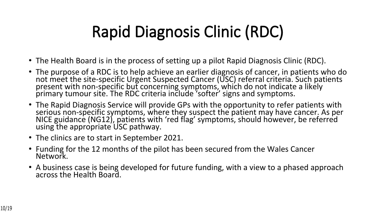## **Rapid Diagnosis Clinic (RDC)**

- The Health Board is in the process of setting up a pilot Rapid Diagnosis Clinic (RDC).
- The purpose of a RDC is to help achieve an earlier diagnosis of cancer, in patients who do not meet the site-specific Urgent Suspected Cancer (USC) referral criteria. Such patients present with non-specific but concerning symptoms, which do not indicate a likely primary tumour site. The RDC criteria include 'softer' signs and symptoms.
- The Rapid Diagnosis Service will provide GPs with the opportunity to refer patients with serious non-specific symptoms, where they suspect the patient may have cancer. As per NICE guidance (NG12), patients with 'red flag' symptoms, should however, be referred using the appropriate USC pathway.
- The clinics are to start in September 2021.
- Funding for the 12 months of the pilot has been secured from the Wales Cancer Network.
- A business case is being developed for future funding, with a view to a phased approach across the Health Board.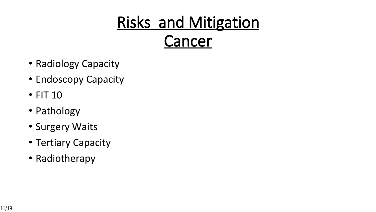## **Risks and Mitigation Cancer**

- Radiology Capacity
- Endoscopy Capacity
- FIT 10
- Pathology
- Surgery Waits
- Tertiary Capacity
- Radiotherapy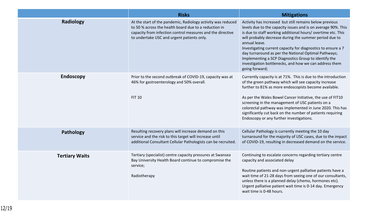|                       | <b>Risks</b>                                                                                                                                                                                                                      | <b>Mitigations</b>                                                                                                                                                                                                                                                                                                                                                                                                                                                                                                              |
|-----------------------|-----------------------------------------------------------------------------------------------------------------------------------------------------------------------------------------------------------------------------------|---------------------------------------------------------------------------------------------------------------------------------------------------------------------------------------------------------------------------------------------------------------------------------------------------------------------------------------------------------------------------------------------------------------------------------------------------------------------------------------------------------------------------------|
| Radiology             | At the start of the pandemic, Radiology activity was reduced<br>to 50 % across the health board due to a reduction in<br>capacity from infection control measures and the directive<br>to undertake USC and urgent patients only. | Activity has increased but still remains below previous<br>levels due to the capacity issues and is on average 90%. This<br>is due to staff working additional hours/ overtime etc. This<br>will probably decrease during the summer period due to<br>annual leave.<br>Investigating current capacity for diagnostics to ensure a 7<br>day turnaround as per the National Optimal Pathways;<br>Implementing a SCP Diagnostics Group to identify the<br>investigation bottlenecks, and how we can address them<br>going forward; |
| <b>Endoscopy</b>      | Prior to the second outbreak of COVID-19, capacity was at<br>46% for gastroenterology and 50% overall.<br><b>FIT 10</b>                                                                                                           | Currently capacity is at 71%. This is due to the introduction<br>of the green pathway which will see capacity increase<br>further to 81% as more endoscopists become available.<br>As per the Wales Bowel Cancer Initiative, the use of FIT10<br>screening in the management of USC patients on a<br>colorectal pathway was implemented in June 2020. This has<br>significantly cut back on the number of patients requiring<br>Endoscopy or any further investigations.                                                        |
| Pathology             | Resulting recovery plans will increase demand on this<br>service and the risk to this target will increase until<br>additional Consultant Cellular Pathologists can be recruited.                                                 | Cellular Pathology is currently meeting the 10 day<br>turnaround for the majority of USC cases, due to the impact<br>of COVID-19, resulting in decreased demand on the service.                                                                                                                                                                                                                                                                                                                                                 |
| <b>Tertiary Waits</b> | Tertiary (specialist) centre capacity pressures at Swansea<br>Bay University Health Board continue to compromise the<br>service;<br>Radiotherapy                                                                                  | Continuing to escalate concerns regarding tertiary centre<br>capacity and associated delay<br>Routine patients and non-urgent palliative patients have a<br>wait time of 21-28 days from seeing one of our consultants,<br>unless there is a planned delay (chemo, hormones etc).<br>Urgent palliative patient wait time is 0-14 day. Emergency<br>wait time is 0-48 hours.                                                                                                                                                     |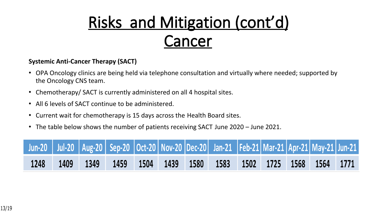## **Risks and Mitigation (cont'd) Cancer**

#### **Systemic Anti-Cancer Therapy (SACT)**

- OPA Oncology clinics are being held via telephone consultation and virtually where needed; supported by the Oncology CNS team.
- Chemotherapy/ SACT is currently administered on all 4 hospital sites.
- All 6 levels of SACT continue to be administered.
- Current wait for chemotherapy is 15 days across the Health Board sites.
- The table below shows the number of patients receiving SACT June 2020 June 2021.

|      |  |  |  | Jun-20   Jul-20   Aug-20   Sep-20   Oct-20   Nov-20   Dec-20   Jan-21   Feb-21   Mar-21   Apr-21   May-21   Jun-21 |  |  |  |
|------|--|--|--|--------------------------------------------------------------------------------------------------------------------|--|--|--|
| 1248 |  |  |  | 1409   1349   1459   1504   1439   1580   1583   1502   1725   1568   1564   1771                                  |  |  |  |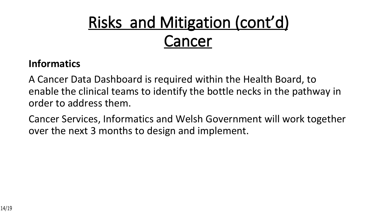# **Risks and Mitigation (cont'd) Cancer**

#### **Informatics**

A Cancer Data Dashboard is required within the Health Board, to enable the clinical teams to identify the bottle necks in the pathway in order to address them.

Cancer Services, Informatics and Welsh Government will work together over the next 3 months to design and implement.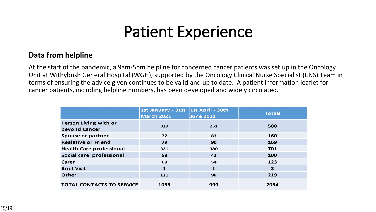#### **Patient Experience**

#### **Data from helpline**

At the start of the pandemic, a 9am-5pm helpline for concerned cancer patients was set up in the Oncology Unit at Withybush General Hospital (WGH), supported by the Oncology Clinical Nurse Specialist (CNS) Team in terms of ensuring the advice given continues to be valid and up to date. A patient information leaflet for cancer patients, including helpline numbers, has been developed and widely circulated.

|                                        | 1st January - 31st 1st April - 30th<br><b>March 2021</b> | <b>June 2021</b> | <b>Totals</b>  |
|----------------------------------------|----------------------------------------------------------|------------------|----------------|
| Person Living with or<br>beyond Cancer | 329                                                      | 251              | 580            |
| Spouse or partner                      | 77                                                       | 83               | 160            |
| <b>Realative or Friend</b>             | 79                                                       | 90               | 169            |
| <b>Health Care professional</b>        | 321                                                      | 380              | 701            |
| Social care professional               | 58                                                       | 42               | 100            |
| Carer                                  | 69                                                       | 54               | 123            |
| <b>Brief Visit</b>                     | $\mathbf{1}$                                             | $\mathbf{1}$     | $\overline{2}$ |
| Other                                  | 121                                                      | 98               | 219            |
| <b>TOTAL CONTACTS TO SERVICE</b>       | 1055                                                     | 999              | 2054           |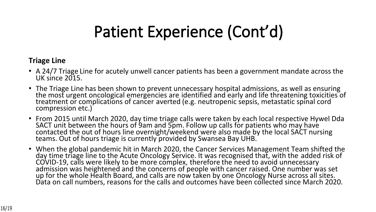### **Patient Experience (Cont'd)**

#### **Triage Line**

- A 24/7 Triage Line for acutely unwell cancer patients has been a government mandate across the UK since 2015.
- The Triage Line has been shown to prevent unnecessary hospital admissions, as well as ensuring the most urgent oncological emergencies are identified and early and life threatening toxicities of treatment or complications of cancer averted (e.g. neutropenic sepsis, metastatic spinal cord compression etc.)
- From 2015 until March 2020, day time triage calls were taken by each local respective Hywel Dda SACT unit between the hours of 9am and 5pm. Follow up calls for patients who may have contacted the out of hours line overnight/weekend were also made by the local SACT nursing teams. Out of hours triage is currently provided by Swansea Bay UHB.
- When the global pandemic hit in March 2020, the Cancer Services Management Team shifted the day time triage line to the Acute Oncology Service. It was recognised that, with the added risk of COVID-19, calls were likely to be more complex, therefore the need to avoid unnecessary admission was heightened and the concerns of people with cancer raised. One number was set up for the whole Health Board, and calls are now taken by one Oncology Nurse across all sites. Data on call numbers, reasons for the calls and outcomes have been collected since March 2020.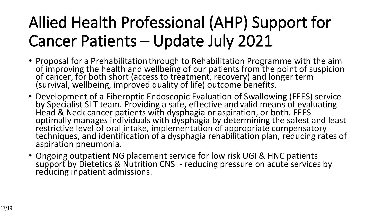## **Allied Health Professional (AHP) Support for Cancer Patients – Update July 2021**

- Proposal for a Prehabilitation through to Rehabilitation Programme with the aim of improving the health and wellbeing of our patients from the point of suspicion of cancer, for both short (access to treatment, recovery) and longer term (survival, wellbeing, improved quality of life) outcome benefits.
- Development of a Fiberoptic Endoscopic Evaluation of Swallowing (FEES) service by Specialist SLT team. Providing a safe, effective and valid means of evaluating Head & Neck cancer patients with dysphagia or aspiration, or both. FEES optimally manages individuals with dysphagia by determining the safest and least restrictive level of oral intake, implementation of appropriate compensatory techniques, and identification of a dysphagia rehabilitation plan, reducing rates of aspiration pneumonia.
- Ongoing outpatient NG placement service for low risk UGI & HNC patients support by Dietetics & Nutrition CNS - reducing pressure on acute services by reducing inpatient admissions.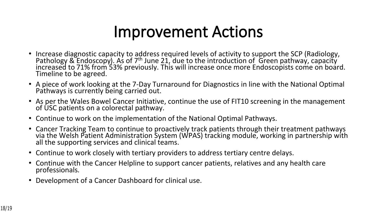#### **Improvement Actions**

- Increase diagnostic capacity to address required levels of activity to support the SCP (Radiology, Pathology & Endoscopy). As of 7<sup>th</sup> June 21, due to the introduction of Green pathway, capacity increased to 71% from 53% previously. This will increase once more Endoscopists come on board. Timeline to be agreed.
- A piece of work looking at the 7-Day Turnaround for Diagnostics in line with the National Optimal Pathways is currently being carried out.
- As per the Wales Bowel Cancer Initiative, continue the use of FIT10 screening in the management of USC patients on a colorectal pathway.
- Continue to work on the implementation of the National Optimal Pathways.
- Cancer Tracking Team to continue to proactively track patients through their treatment pathways via the Welsh Patient Administration System (WPAS) tracking module, working in partnership with all the supporting services and clinical teams.
- Continue to work closely with tertiary providers to address tertiary centre delays.
- Continue with the Cancer Helpline to support cancer patients, relatives and any health care professionals.
- Development of a Cancer Dashboard for clinical use.